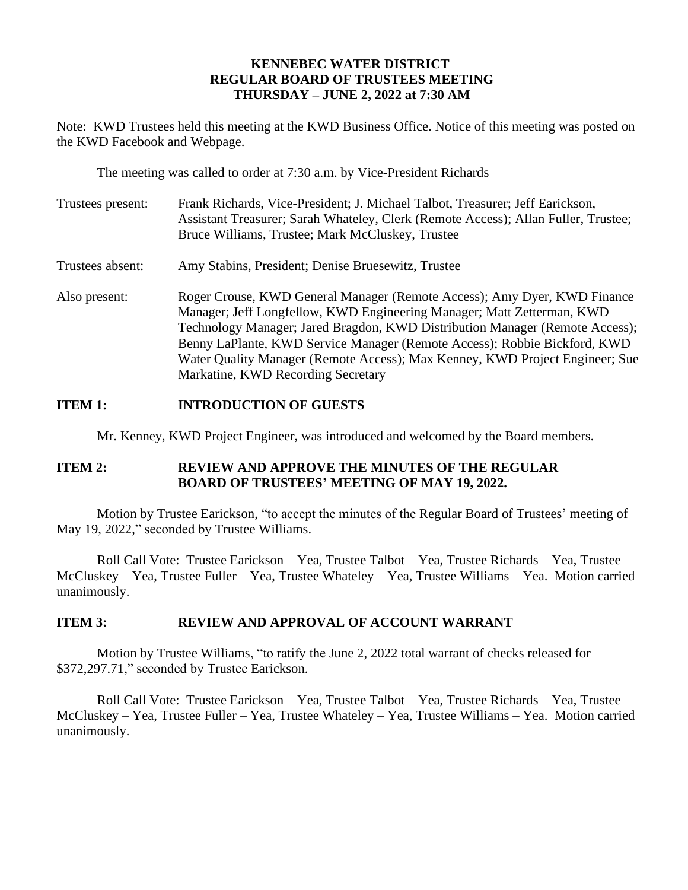## **KENNEBEC WATER DISTRICT REGULAR BOARD OF TRUSTEES MEETING THURSDAY – JUNE 2, 2022 at 7:30 AM**

Note: KWD Trustees held this meeting at the KWD Business Office. Notice of this meeting was posted on the KWD Facebook and Webpage.

The meeting was called to order at 7:30 a.m. by Vice-President Richards

| Trustees present: | Frank Richards, Vice-President; J. Michael Talbot, Treasurer; Jeff Earickson,<br>Assistant Treasurer; Sarah Whateley, Clerk (Remote Access); Allan Fuller, Trustee;<br>Bruce Williams, Trustee; Mark McCluskey, Trustee                                                                                                                                                                                                               |
|-------------------|---------------------------------------------------------------------------------------------------------------------------------------------------------------------------------------------------------------------------------------------------------------------------------------------------------------------------------------------------------------------------------------------------------------------------------------|
| Trustees absent:  | Amy Stabins, President; Denise Bruesewitz, Trustee                                                                                                                                                                                                                                                                                                                                                                                    |
| Also present:     | Roger Crouse, KWD General Manager (Remote Access); Amy Dyer, KWD Finance<br>Manager; Jeff Longfellow, KWD Engineering Manager; Matt Zetterman, KWD<br>Technology Manager; Jared Bragdon, KWD Distribution Manager (Remote Access);<br>Benny LaPlante, KWD Service Manager (Remote Access); Robbie Bickford, KWD<br>Water Quality Manager (Remote Access); Max Kenney, KWD Project Engineer; Sue<br>Markatine, KWD Recording Secretary |

## **ITEM 1: INTRODUCTION OF GUESTS**

Mr. Kenney, KWD Project Engineer, was introduced and welcomed by the Board members.

### **ITEM 2: REVIEW AND APPROVE THE MINUTES OF THE REGULAR BOARD OF TRUSTEES' MEETING OF MAY 19, 2022.**

Motion by Trustee Earickson, "to accept the minutes of the Regular Board of Trustees' meeting of May 19, 2022," seconded by Trustee Williams.

Roll Call Vote: Trustee Earickson – Yea, Trustee Talbot – Yea, Trustee Richards – Yea, Trustee McCluskey – Yea, Trustee Fuller – Yea, Trustee Whateley – Yea, Trustee Williams – Yea. Motion carried unanimously.

### **ITEM 3: REVIEW AND APPROVAL OF ACCOUNT WARRANT**

Motion by Trustee Williams, "to ratify the June 2, 2022 total warrant of checks released for \$372,297.71," seconded by Trustee Earickson.

Roll Call Vote: Trustee Earickson – Yea, Trustee Talbot – Yea, Trustee Richards – Yea, Trustee McCluskey – Yea, Trustee Fuller – Yea, Trustee Whateley – Yea, Trustee Williams – Yea. Motion carried unanimously.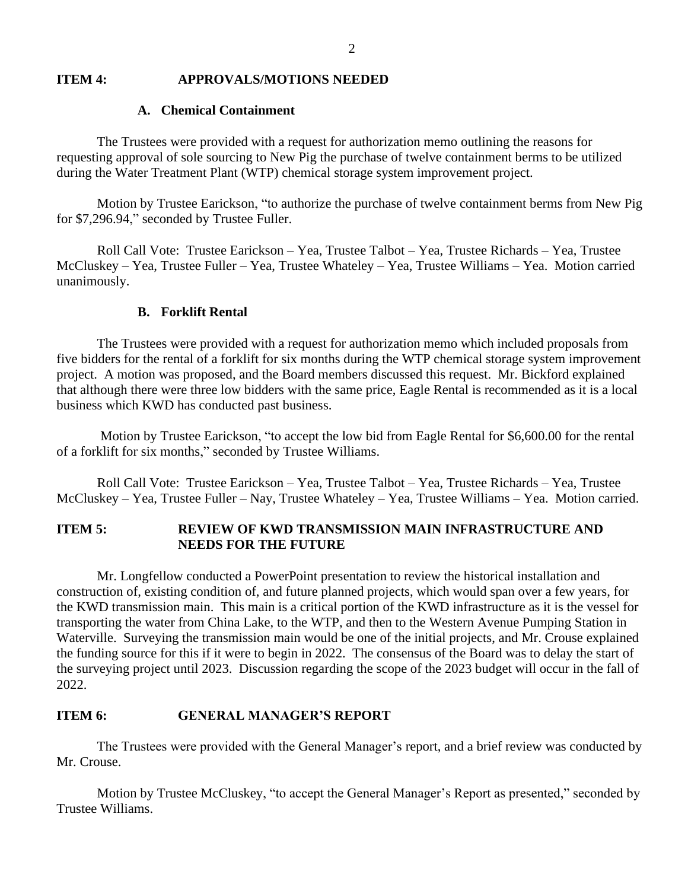#### **ITEM 4: APPROVALS/MOTIONS NEEDED**

### **A. Chemical Containment**

The Trustees were provided with a request for authorization memo outlining the reasons for requesting approval of sole sourcing to New Pig the purchase of twelve containment berms to be utilized during the Water Treatment Plant (WTP) chemical storage system improvement project.

Motion by Trustee Earickson, "to authorize the purchase of twelve containment berms from New Pig for \$7,296.94," seconded by Trustee Fuller.

Roll Call Vote: Trustee Earickson – Yea, Trustee Talbot – Yea, Trustee Richards – Yea, Trustee McCluskey – Yea, Trustee Fuller – Yea, Trustee Whateley – Yea, Trustee Williams – Yea. Motion carried unanimously.

## **B. Forklift Rental**

The Trustees were provided with a request for authorization memo which included proposals from five bidders for the rental of a forklift for six months during the WTP chemical storage system improvement project. A motion was proposed, and the Board members discussed this request. Mr. Bickford explained that although there were three low bidders with the same price, Eagle Rental is recommended as it is a local business which KWD has conducted past business.

Motion by Trustee Earickson, "to accept the low bid from Eagle Rental for \$6,600.00 for the rental of a forklift for six months," seconded by Trustee Williams.

Roll Call Vote: Trustee Earickson – Yea, Trustee Talbot – Yea, Trustee Richards – Yea, Trustee McCluskey – Yea, Trustee Fuller – Nay, Trustee Whateley – Yea, Trustee Williams – Yea. Motion carried.

## **ITEM 5: REVIEW OF KWD TRANSMISSION MAIN INFRASTRUCTURE AND NEEDS FOR THE FUTURE**

Mr. Longfellow conducted a PowerPoint presentation to review the historical installation and construction of, existing condition of, and future planned projects, which would span over a few years, for the KWD transmission main. This main is a critical portion of the KWD infrastructure as it is the vessel for transporting the water from China Lake, to the WTP, and then to the Western Avenue Pumping Station in Waterville. Surveying the transmission main would be one of the initial projects, and Mr. Crouse explained the funding source for this if it were to begin in 2022. The consensus of the Board was to delay the start of the surveying project until 2023. Discussion regarding the scope of the 2023 budget will occur in the fall of 2022.

### **ITEM 6: GENERAL MANAGER'S REPORT**

The Trustees were provided with the General Manager's report, and a brief review was conducted by Mr. Crouse.

Motion by Trustee McCluskey, "to accept the General Manager's Report as presented," seconded by Trustee Williams.